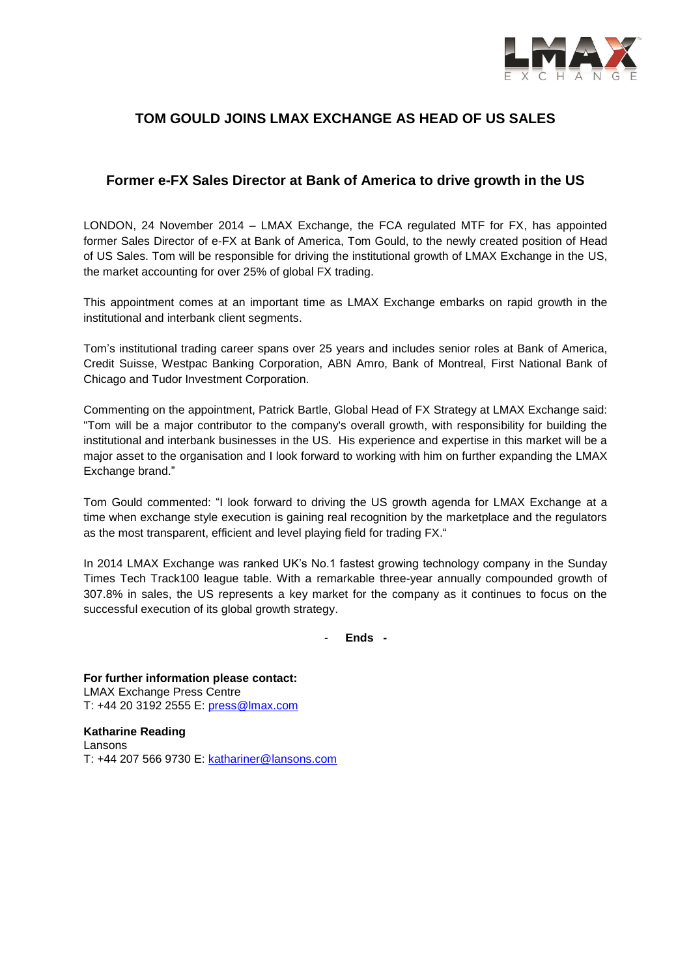

# **TOM GOULD JOINS LMAX EXCHANGE AS HEAD OF US SALES**

## **Former e-FX Sales Director at Bank of America to drive growth in the US**

LONDON, 24 November 2014 – LMAX Exchange, the FCA regulated MTF for FX, has appointed former Sales Director of e-FX at Bank of America, Tom Gould, to the newly created position of Head of US Sales. Tom will be responsible for driving the institutional growth of LMAX Exchange in the US, the market accounting for over 25% of global FX trading.

This appointment comes at an important time as LMAX Exchange embarks on rapid growth in the institutional and interbank client segments.

Tom's institutional trading career spans over 25 years and includes senior roles at Bank of America, Credit Suisse, Westpac Banking Corporation, ABN Amro, Bank of Montreal, First National Bank of Chicago and Tudor Investment Corporation.

Commenting on the appointment, Patrick Bartle, Global Head of FX Strategy at LMAX Exchange said: "Tom will be a major contributor to the company's overall growth, with responsibility for building the institutional and interbank businesses in the US. His experience and expertise in this market will be a major asset to the organisation and I look forward to working with him on further expanding the LMAX Exchange brand."

Tom Gould commented: "I look forward to driving the US growth agenda for LMAX Exchange at a time when exchange style execution is gaining real recognition by the marketplace and the regulators as the most transparent, efficient and level playing field for trading FX."

In 2014 LMAX Exchange was ranked UK's No.1 fastest growing technology company in the Sunday Times Tech Track100 league table. With a remarkable three-year annually compounded growth of 307.8% in sales, the US represents a key market for the company as it continues to focus on the successful execution of its global growth strategy.

- **Ends -**

**For further information please contact:** LMAX Exchange Press Centre T: +44 20 3192 2555 E: press@lmax.com

**Katharine Reading** Lansons T: +44 207 566 9730 E: [kathariner@lansons.com](mailto:kathariner@lansons.com)